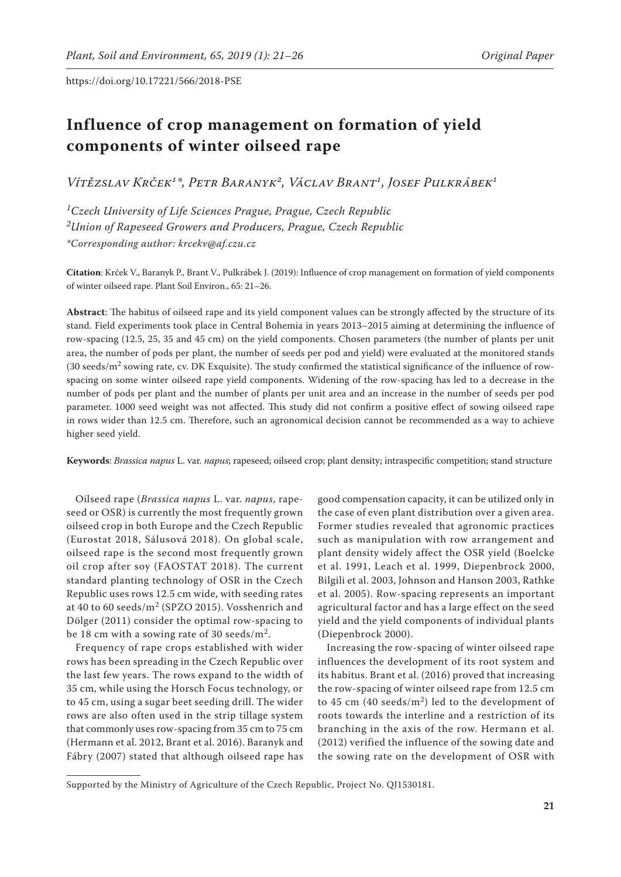# **Influence of crop management on formation of yield components of winter oilseed rape**

*Vítězslav Krček1\*, Petr Baranyk2, Václav Brant1, Josef Pulkrábek1*

*1Czech University of Life Sciences Prague, Prague, Czech Republic 2Union of Rapeseed Growers and Producers, Prague, Czech Republic \*Corresponding author: krcekv@af.czu.cz*

**Citation**: Krček V., Baranyk P., Brant V., Pulkrábek J. (2019): Influence of crop management on formation of yield components of winter oilseed rape. Plant Soil Environ., 65: 21–26.

**Abstract**: The habitus of oilseed rape and its yield component values can be strongly affected by the structure of its stand. Field experiments took place in Central Bohemia in years 2013–2015 aiming at determining the influence of row-spacing (12.5, 25, 35 and 45 cm) on the yield components. Chosen parameters (the number of plants per unit area, the number of pods per plant, the number of seeds per pod and yield) were evaluated at the monitored stands (30 seeds/ $m^2$  sowing rate, cv. DK Exquisite). The study confirmed the statistical significance of the influence of rowspacing on some winter oilseed rape yield components. Widening of the row-spacing has led to a decrease in the number of pods per plant and the number of plants per unit area and an increase in the number of seeds per pod parameter. 1000 seed weight was not affected. This study did not confirm a positive effect of sowing oilseed rape in rows wider than 12.5 cm. Therefore, such an agronomical decision cannot be recommended as a way to achieve higher seed yield.

**Keywords**: *Brassica napus* L. var. *napus*; rapeseed; oilseed crop; plant density; intraspecific competition; stand structure

Oilseed rape (*Brassica napus* L. var. *napus*, rapeseed or OSR) is currently the most frequently grown oilseed crop in both Europe and the Czech Republic (Eurostat 2018, Sálusová 2018). On global scale, oilseed rape is the second most frequently grown oil crop after soy (FAOSTAT 2018). The current standard planting technology of OSR in the Czech Republic uses rows 12.5 cm wide, with seeding rates at 40 to 60 seeds/ $m^2$  (SPZO 2015). Vosshenrich and Dölger (2011) consider the optimal row-spacing to be 18 cm with a sowing rate of 30 seeds/m<sup>2</sup>.

Frequency of rape crops established with wider rows has been spreading in the Czech Republic over the last few years. The rows expand to the width of 35 cm, while using the Horsch Focus technology, or to 45 cm, using a sugar beet seeding drill. The wider rows are also often used in the strip tillage system that commonly uses row-spacing from 35 cm to 75 cm (Hermann et al. 2012, Brant et al. 2016). Baranyk and Fábry (2007) stated that although oilseed rape has

good compensation capacity, it can be utilized only in the case of even plant distribution over a given area. Former studies revealed that agronomic practices such as manipulation with row arrangement and plant density widely affect the OSR yield (Boelcke et al. 1991, Leach et al. 1999, Diepenbrock 2000, Bilgili et al. 2003, Johnson and Hanson 2003, Rathke et al. 2005). Row-spacing represents an important agricultural factor and has a large effect on the seed yield and the yield components of individual plants (Diepenbrock 2000).

Increasing the row-spacing of winter oilseed rape influences the development of its root system and its habitus. Brant et al. (2016) proved that increasing the row-spacing of winter oilseed rape from 12.5 cm to 45 cm  $(40 \text{ seeds/m}^2)$  led to the development of roots towards the interline and a restriction of its branching in the axis of the row. Hermann et al. (2012) verified the influence of the sowing date and the sowing rate on the development of OSR with

Supported by the Ministry of Agriculture of the Czech Republic, Project No. QJ1530181.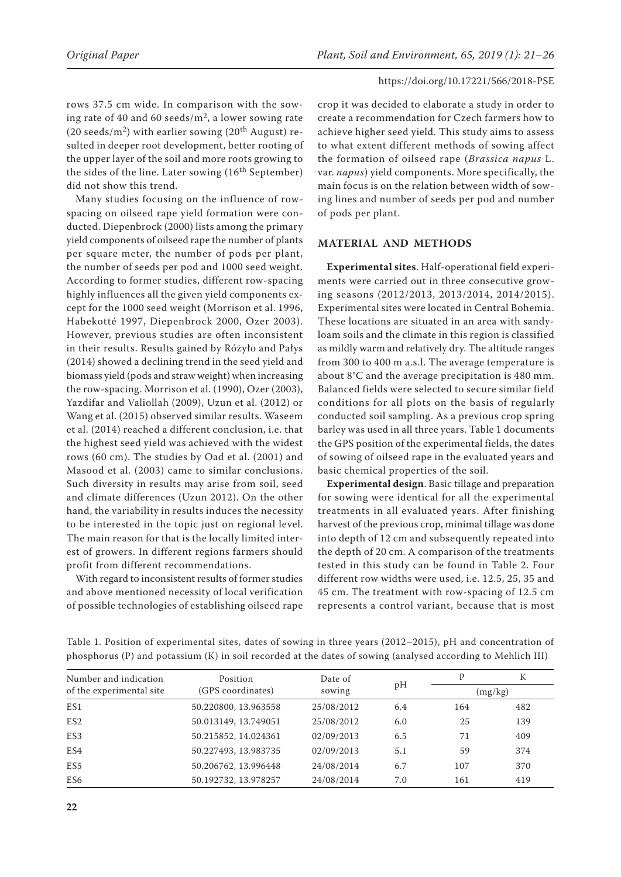rows 37.5 cm wide. In comparison with the sowing rate of 40 and 60 seeds/ $m^2$ , a lower sowing rate (20 seeds/m<sup>2</sup>) with earlier sowing (20<sup>th</sup> August) resulted in deeper root development, better rooting of the upper layer of the soil and more roots growing to the sides of the line. Later sowing  $(16<sup>th</sup> September)$ did not show this trend.

Many studies focusing on the influence of rowspacing on oilseed rape yield formation were conducted. Diepenbrock (2000) lists among the primary yield components of oilseed rape the number of plants per square meter, the number of pods per plant, the number of seeds per pod and 1000 seed weight. According to former studies, different row-spacing highly influences all the given yield components except for the 1000 seed weight (Morrison et al. 1996, Habekotté 1997, Diepenbrock 2000, Ozer 2003). However, previous studies are often inconsistent in their results. Results gained by Różyło and Pałys (2014) showed a declining trend in the seed yield and biomass yield (pods and straw weight) when increasing the row-spacing. Morrison et al. (1990), Ozer (2003), Yazdifar and Valiollah (2009), Uzun et al. (2012) or Wang et al. (2015) observed similar results. Waseem et al. (2014) reached a different conclusion, i.e. that the highest seed yield was achieved with the widest rows (60 cm). The studies by Oad et al. (2001) and Masood et al. (2003) came to similar conclusions. Such diversity in results may arise from soil, seed and climate differences (Uzun 2012). On the other hand, the variability in results induces the necessity to be interested in the topic just on regional level. The main reason for that is the locally limited interest of growers. In different regions farmers should profit from different recommendations.

With regard to inconsistent results of former studies and above mentioned necessity of local verification of possible technologies of establishing oilseed rape crop it was decided to elaborate a study in order to create a recommendation for Czech farmers how to achieve higher seed yield. This study aims to assess to what extent different methods of sowing affect the formation of oilseed rape (*Brassica napus* L. var. *napus*) yield components. More specifically, the main focus is on the relation between width of sowing lines and number of seeds per pod and number of pods per plant.

# **MATERIAL AND METHODS**

**Experimental sites**. Half-operational field experiments were carried out in three consecutive growing seasons (2012/2013, 2013/2014, 2014/2015). Experimental sites were located in Central Bohemia. These locations are situated in an area with sandyloam soils and the climate in this region is classified as mildly warm and relatively dry. The altitude ranges from 300 to 400 m a.s.l. The average temperature is about 8°C and the average precipitation is 480 mm. Balanced fields were selected to secure similar field conditions for all plots on the basis of regularly conducted soil sampling. As a previous crop spring barley was used in all three years. Table 1 documents the GPS position of the experimental fields, the dates of sowing of oilseed rape in the evaluated years and basic chemical properties of the soil.

**Experimental design**. Basic tillage and preparation for sowing were identical for all the experimental treatments in all evaluated years. After finishing harvest of the previous crop, minimal tillage was done into depth of 12 cm and subsequently repeated into the depth of 20 cm. A comparison of the treatments tested in this study can be found in Table 2. Four different row widths were used, i.e. 12.5, 25, 35 and 45 cm. The treatment with row-spacing of 12.5 cm represents a control variant, because that is most

| Number and indication    | Position             | Date of    |     |         | К   |
|--------------------------|----------------------|------------|-----|---------|-----|
| of the experimental site | (GPS coordinates)    | sowing     | pH  | (mg/kg) |     |
| ES1                      | 50.220800, 13.963558 | 25/08/2012 | 6.4 | 164     | 482 |
| ES <sub>2</sub>          | 50.013149, 13.749051 | 25/08/2012 | 6.0 | 25      | 139 |
| ES <sub>3</sub>          | 50.215852, 14.024361 | 02/09/2013 | 6.5 | 71      | 409 |
| ES4                      | 50.227493, 13.983735 | 02/09/2013 | 5.1 | 59      | 374 |
| ES <sub>5</sub>          | 50.206762, 13.996448 | 24/08/2014 | 6.7 | 107     | 370 |
| ES <sub>6</sub>          | 50.192732, 13.978257 | 24/08/2014 | 7.0 | 161     | 419 |

Table 1. Position of experimental sites, dates of sowing in three years (2012–2015), pH and concentration of phosphorus (P) and potassium (K) in soil recorded at the dates of sowing (analysed according to Mehlich III)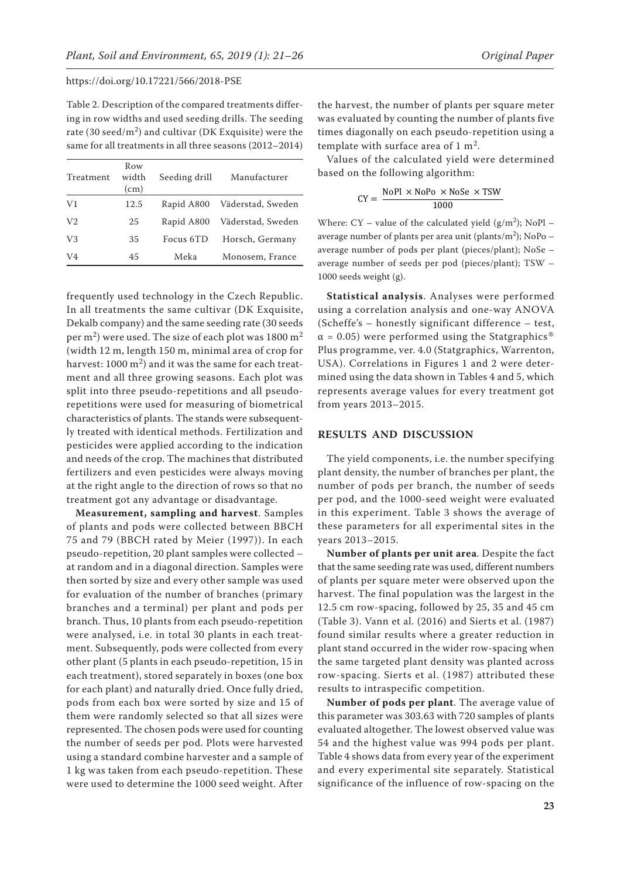Table 2. Description of the compared treatments differing in row widths and used seeding drills. The seeding rate (30 seed/ $m<sup>2</sup>$ ) and cultivar (DK Exquisite) were the same for all treatments in all three seasons (2012–2014)

| Row<br>width<br>(cm) | Seeding drill | Manufacturer      |
|----------------------|---------------|-------------------|
| 12.5                 |               | Väderstad, Sweden |
| 25                   | Rapid A800    | Väderstad, Sweden |
| 35                   | Focus 6TD     | Horsch, Germany   |
| 45                   | Meka          | Monosem, France   |
|                      |               | Rapid A800        |

frequently used technology in the Czech Republic. In all treatments the same cultivar (DK Exquisite, Dekalb company) and the same seeding rate (30 seeds per  $m<sup>2</sup>$ ) were used. The size of each plot was 1800  $m<sup>2</sup>$ (width 12 m, length 150 m, minimal area of crop for harvest:  $1000 \text{ m}^2$ ) and it was the same for each treatment and all three growing seasons. Each plot was split into three pseudo-repetitions and all pseudorepetitions were used for measuring of biometrical characteristics of plants. The stands were subsequently treated with identical methods. Fertilization and pesticides were applied according to the indication and needs of the crop. The machines that distributed fertilizers and even pesticides were always moving at the right angle to the direction of rows so that no treatment got any advantage or disadvantage.

**Measurement, sampling and harvest**. Samples of plants and pods were collected between BBCH 75 and 79 (BBCH rated by Meier (1997)). In each pseudo-repetition, 20 plant samples were collected – at random and in a diagonal direction. Samples were then sorted by size and every other sample was used for evaluation of the number of branches (primary branches and a terminal) per plant and pods per branch. Thus, 10 plants from each pseudo-repetition were analysed, i.e. in total 30 plants in each treatment. Subsequently, pods were collected from every other plant (5 plants in each pseudo-repetition, 15 in each treatment), stored separately in boxes (one box for each plant) and naturally dried. Once fully dried, pods from each box were sorted by size and 15 of them were randomly selected so that all sizes were represented. The chosen pods were used for counting the number of seeds per pod. Plots were harvested using a standard combine harvester and a sample of 1 kg was taken from each pseudo-repetition. These were used to determine the 1000 seed weight. After

the harvest, the number of plants per square meter was evaluated by counting the number of plants five times diagonally on each pseudo-repetition using a template with surface area of  $1 \text{ m}^2$ .

Values of the calculated yield were determined based on the following algorithm:

$$
CY = \frac{NoPI \times NoPo \times NoSe \times TSW}{1000}
$$

Where:  $CY$  – value of the calculated yield ( $g/m^2$ ); NoPl – average number of plants per area unit (plants/ $m^2$ ); NoPo – average number of pods per plant (pieces/plant); NoSe – average number of seeds per pod (pieces/plant); TSW – 1000 seeds weight (g).

**Statistical analysis**. Analyses were performed using a correlation analysis and one-way ANOVA (Scheffe's – honestly significant difference – test,  $\alpha$  = 0.05) were performed using the Statgraphics<sup>®</sup> Plus programme, ver. 4.0 (Statgraphics, Warrenton, USA). Correlations in Figures 1 and 2 were determined using the data shown in Tables 4 and 5, which represents average values for every treatment got from years 2013–2015.

## **RESULTS AND DISCUSSION**

The yield components, i.e. the number specifying plant density, the number of branches per plant, the number of pods per branch, the number of seeds per pod, and the 1000-seed weight were evaluated in this experiment. Table 3 shows the average of these parameters for all experimental sites in the years 2013–2015.

**Number of plants per unit area**. Despite the fact that the same seeding rate was used, different numbers of plants per square meter were observed upon the harvest. The final population was the largest in the 12.5 cm row-spacing, followed by 25, 35 and 45 cm (Table 3). Vann et al. (2016) and Sierts et al. (1987) found similar results where a greater reduction in plant stand occurred in the wider row-spacing when the same targeted plant density was planted across row-spacing. Sierts et al. (1987) attributed these results to intraspecific competition.

**Number of pods per plant**. The average value of this parameter was 303.63 with 720 samples of plants evaluated altogether. The lowest observed value was 54 and the highest value was 994 pods per plant. Table 4 shows data from every year of the experiment and every experimental site separately. Statistical significance of the influence of row-spacing on the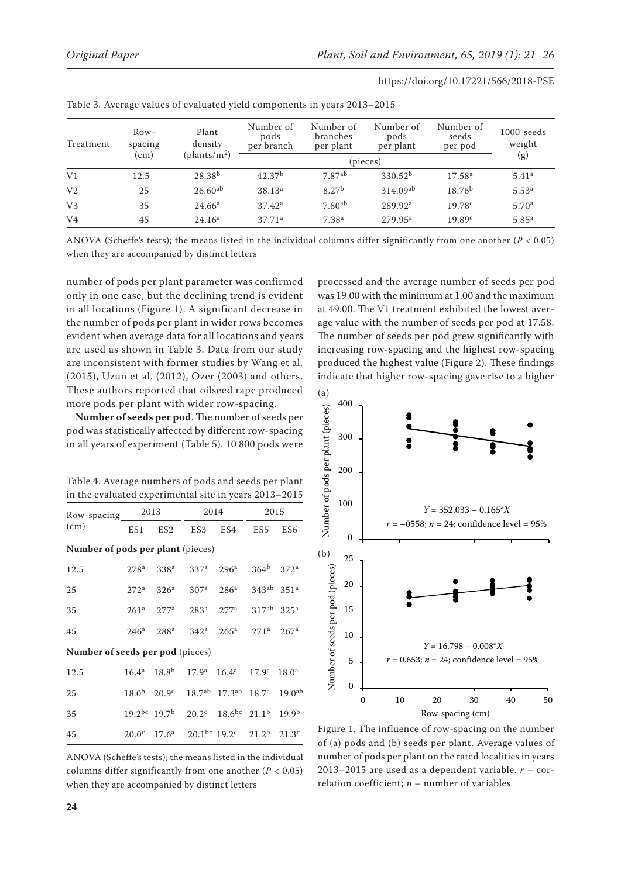processed and the average number of seeds per pod was 19.00 with the minimum at 1.00 and the maximum at 49.00. The V1 treatment exhibited the lowest average value with the number of seeds per pod at 17.58. The number of seeds per pod grew significantly with increasing row-spacing and the highest row-spacing produced the highest value (Figure 2). These findings indicate that higher row-spacing gave rise to a higher

| Table 3. Average values of evaluated yield components in years 2013–2015 |                                    |                                              |                                 |                                    |                                |                               |                      |
|--------------------------------------------------------------------------|------------------------------------|----------------------------------------------|---------------------------------|------------------------------------|--------------------------------|-------------------------------|----------------------|
| Treatment                                                                | $Row-$<br>spacing<br>$\text{(cm)}$ | Plant<br>density<br>(plants/m <sup>2</sup> ) | Number of<br>pods<br>per branch | Number of<br>branches<br>per plant | Number of<br>pods<br>per plant | Number of<br>seeds<br>per pod | 1000-seeds<br>weight |
|                                                                          |                                    |                                              |                                 | (g)                                |                                |                               |                      |
| V1                                                                       | 12.5                               | $28.38^{b}$                                  | 42.37 <sup>b</sup>              | 7.87ab                             | $330.52^b$                     | 17.58 <sup>a</sup>            | 5.41 <sup>a</sup>    |
| V <sub>2</sub>                                                           | 25                                 | 26.60 <sup>ab</sup>                          | 38.13 <sup>a</sup>              | 8.27 <sup>b</sup>                  | $314.09^{ab}$                  | 18.76 <sup>b</sup>            | 5.53 <sup>a</sup>    |
| V <sub>3</sub>                                                           | 35                                 | 24.66 <sup>a</sup>                           | $37.42^a$                       | 7.80 <sup>ab</sup>                 | 289.92 <sup>a</sup>            | 19.78 <sup>c</sup>            | 5.70 <sup>a</sup>    |
| V4                                                                       | 45                                 | 24.16 <sup>a</sup>                           | 37.71 <sup>a</sup>              | 7.38 <sup>a</sup>                  | $279.95^{\rm a}$               | 19.89c                        | $5.85^{\rm a}$       |

ANOVA (Scheffe's tests); the means listed in the individual columns differ significantly from one another (*P* < 0.05) when they are accompanied by distinct letters

number of pods per plant parameter was confirmed only in one case, but the declining trend is evident in all locations (Figure 1). A significant decrease in the number of pods per plant in wider rows becomes evident when average data for all locations and years are used as shown in Table 3. Data from our study are inconsistent with former studies by Wang et al. (2015), Uzun et al. (2012), Ozer (2003) and others. These authors reported that oilseed rape produced more pods per plant with wider row-spacing.

**Number of seeds per pod**. The number of seeds per pod was statistically affected by different row-spacing in all years of experiment (Table 5). 10 800 pods were

Table 4. Average numbers of pods and seeds per plant in the evaluated experimental site in years 2013–2015

| Row-spacing<br>(cm)                      | 2013             |                                                                                                           | 2014             |                                                                  | 2015                                            |                    |  |
|------------------------------------------|------------------|-----------------------------------------------------------------------------------------------------------|------------------|------------------------------------------------------------------|-------------------------------------------------|--------------------|--|
|                                          | ES1              | ES2                                                                                                       | ES <sub>3</sub>  | ES4                                                              | ES5                                             | ES6                |  |
| <b>Number of pods per plant</b> (pieces) |                  |                                                                                                           |                  |                                                                  |                                                 |                    |  |
| 12.5                                     | 278 <sup>a</sup> | 338 <sup>a</sup>                                                                                          | 337 <sup>a</sup> | 296 <sup>a</sup>                                                 |                                                 | $364^b$ $372^a$    |  |
| 25                                       | 272 <sup>a</sup> | 326 <sup>a</sup>                                                                                          | 307 <sup>a</sup> | 286 <sup>a</sup>                                                 | $343^{ab}$ $351^a$                              |                    |  |
| 35                                       | 261 <sup>a</sup> | $277^{\rm a}$                                                                                             |                  | $283^a$ $277^a$                                                  |                                                 | $317^{ab}$ $325^a$ |  |
| 45                                       | 246 <sup>a</sup> | 288 <sup>a</sup>                                                                                          | $342^{\rm a}$    | 265 <sup>a</sup>                                                 | 271 <sup>a</sup>                                | 267 <sup>a</sup>   |  |
| Number of seeds per pod (pieces)         |                  |                                                                                                           |                  |                                                                  |                                                 |                    |  |
| 12.5                                     | $16.4^{\rm a}$   | $18.8^{b}$                                                                                                |                  | $17.9^a$ $16.4^a$                                                | $17.9^{\rm a}$                                  | $18.0^{\rm a}$     |  |
| 25                                       |                  | $18.0b$ 20.9 <sup>c</sup>                                                                                 |                  | $18.7ab$ 17.3 <sup>ab</sup> 18.7 <sup>a</sup> 19.0 <sup>ab</sup> |                                                 |                    |  |
| 35                                       |                  | $19.2^{bc}$ 19.7 <sup>b</sup> 20.2 <sup>c</sup>                                                           |                  |                                                                  | $18.6^{bc}$ 21.1 <sup>b</sup> 19.9 <sup>b</sup> |                    |  |
| 45                                       |                  | $20.0^{\circ}$ 17.6 <sup>a</sup> 20.1 <sup>bc</sup> 19.2 <sup>c</sup> 21.2 <sup>b</sup> 21.3 <sup>c</sup> |                  |                                                                  |                                                 |                    |  |

ANOVA (Scheffe's tests); the means listed in the individual columns differ significantly from one another  $(P < 0.05)$ when they are accompanied by distinct letters

(a) 400 Number of pods per plant (pieces) Number of pods per plant (pieces) 300 200 100 *Y* = 352.033 – 0.165\**X r* = –0558; *n* = 24; confidence level = 95% 0 (b) 25 Number of seeds per pod (pieces) Number of seeds per pod (pieces) 20 15 10 *Y* = 16.798 + 0.008\**X* 5  $r = 0.653$ ;  $n = 24$ ; confidence level = 95% 0 0 10 20 30 40 50 Row-spacing (cm)

Figure 1. The influence of row-spacing on the number of (a) pods and (b) seeds per plant. Average values of number of pods per plant on the rated localities in years 2013–2015 are used as a dependent variable. *r* – correlation coefficient; *n* – number of variables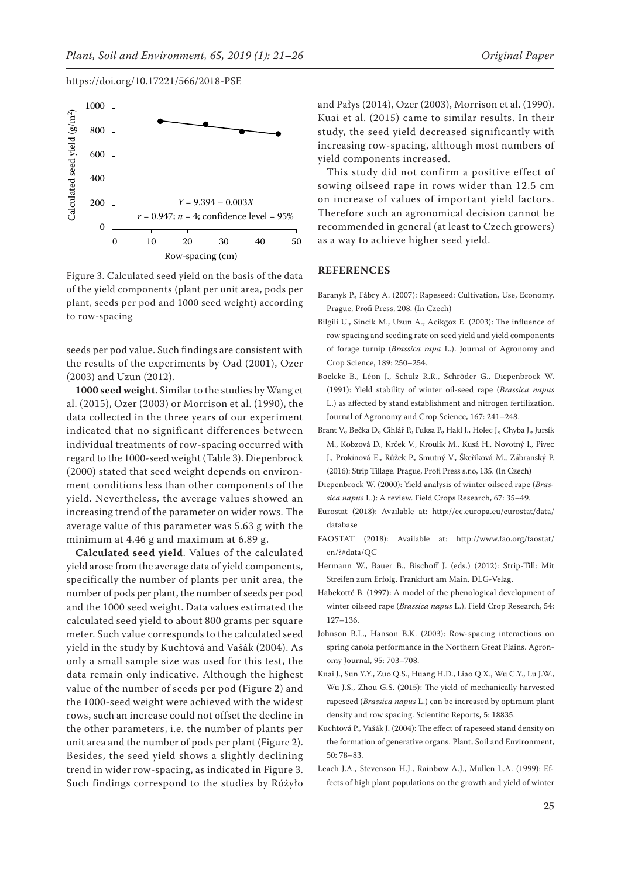

Figure 3. Calculated seed yield on the basis of the data of the yield components (plant per unit area, pods per plant, seeds per pod and 1000 seed weight) according to row-spacing

seeds per pod value. Such findings are consistent with the results of the experiments by Oad (2001), Ozer (2003) and Uzun (2012).

**1000 seed weight**. Similar to the studies by Wang et al. (2015), Ozer (2003) or Morrison et al. (1990), the data collected in the three years of our experiment indicated that no significant differences between individual treatments of row-spacing occurred with regard to the 1000-seed weight (Table 3). Diepenbrock (2000) stated that seed weight depends on environment conditions less than other components of the yield. Nevertheless, the average values showed an increasing trend of the parameter on wider rows. The average value of this parameter was 5.63 g with the minimum at 4.46 g and maximum at 6.89 g.

**Calculated seed yield**. Values of the calculated yield arose from the average data of yield components, specifically the number of plants per unit area, the number of pods per plant, the number of seeds per pod and the 1000 seed weight. Data values estimated the calculated seed yield to about 800 grams per square meter. Such value corresponds to the calculated seed yield in the study by Kuchtová and Vašák (2004). As only a small sample size was used for this test, the data remain only indicative. Although the highest value of the number of seeds per pod (Figure 2) and the 1000-seed weight were achieved with the widest rows, such an increase could not offset the decline in the other parameters, i.e. the number of plants per unit area and the number of pods per plant (Figure 2). Besides, the seed yield shows a slightly declining trend in wider row-spacing, as indicated in Figure 3. Such findings correspond to the studies by Różyło

and Pałys (2014), Ozer (2003), Morrison et al. (1990). Kuai et al. (2015) came to similar results. In their study, the seed yield decreased significantly with increasing row-spacing, although most numbers of yield components increased.

This study did not confirm a positive effect of sowing oilseed rape in rows wider than 12.5 cm on increase of values of important yield factors. Therefore such an agronomical decision cannot be recommended in general (at least to Czech growers) as a way to achieve higher seed yield.

#### **REFERENCES**

- Baranyk P., Fábry A. (2007): Rapeseed: Cultivation, Use, Economy. Prague, Profi Press, 208. (In Czech)
- Bilgili U., Sincik M., Uzun A., Acikgoz E. (2003): The influence of row spacing and seeding rate on seed yield and yield components of forage turnip (*Brassica rapa* L.). Journal of Agronomy and Crop Science, 189: 250–254.
- Boelcke B., Léon J., Schulz R.R., Schröder G., Diepenbrock W. (1991): Yield stability of winter oil-seed rape (*Brassica napus* L.) as affected by stand establishment and nitrogen fertilization. Journal of Agronomy and Crop Science, 167: 241–248.
- Brant V., Bečka D., Cihlář P., Fuksa P., Hakl J., Holec J., Chyba J., Jursík M., Kobzová D., Krček V., Kroulík M., Kusá H., Novotný I., Pivec J., Prokinová E., Růžek P., Smutný V., Škeříková M., Zábranský P. (2016): Strip Tillage. Prague, Profi Press s.r.o, 135. (In Czech)
- Diepenbrock W. (2000): Yield analysis of winter oilseed rape (*Brassica napus* L.): A review. Field Crops Research, 67: 35–49.
- Eurostat (2018): Available at: http://ec.europa.eu/eurostat/data/ database
- FAOSTAT (2018): Available at: http://www.fao.org/faostat/ en/?#data/QC
- Hermann W., Bauer B., Bischoff J. (eds.) (2012): Strip-Till: Mit Streifen zum Erfolg. Frankfurt am Main, DLG-Velag.
- Habekotté B. (1997): A model of the phenological development of winter oilseed rape (*Brassica napus* L.). Field Crop Research, 54: 127–136.
- Johnson B.L., Hanson B.K. (2003): Row-spacing interactions on spring canola performance in the Northern Great Plains. Agronomy Journal, 95: 703–708.
- Kuai J., Sun Y.Y., Zuo Q.S., Huang H.D., Liao Q.X., Wu C.Y., Lu J.W., Wu J.S., Zhou G.S. (2015): The yield of mechanically harvested rapeseed (*Brassica napus* L.) can be increased by optimum plant density and row spacing. Scientific Reports, 5: 18835.
- Kuchtová P., Vašák J. (2004): The effect of rapeseed stand density on the formation of generative organs. Plant, Soil and Environment, 50: 78–83.
- Leach J.A., Stevenson H.J., Rainbow A.J., Mullen L.A. (1999): Effects of high plant populations on the growth and yield of winter